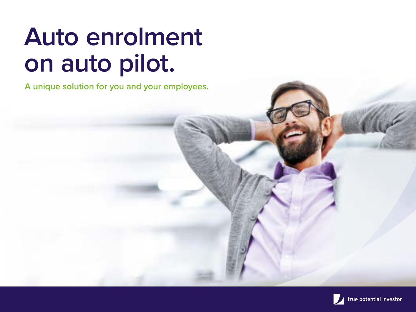# **Auto enrolment on auto pilot.**

**A unique solution for you and your employees.**

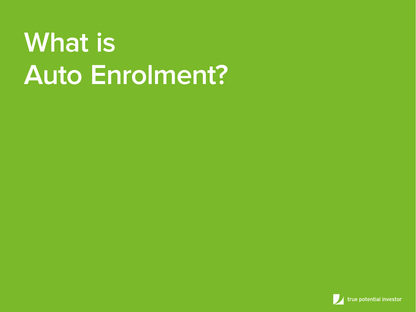# **What is Auto Enrolment?**

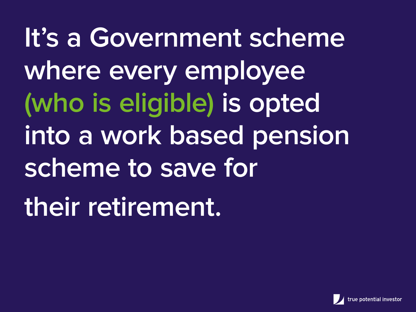**It's a Government scheme where every employee (who is eligible) is opted into a work based pension scheme to save for their retirement.** 

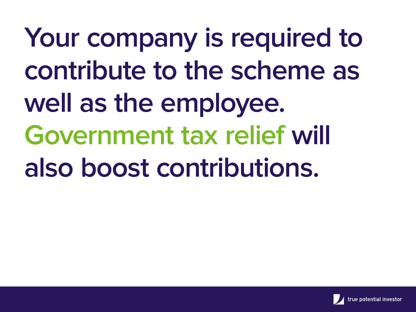**Your company is required to contribute to the scheme as well as the employee. Government tax relief will also boost contributions.**

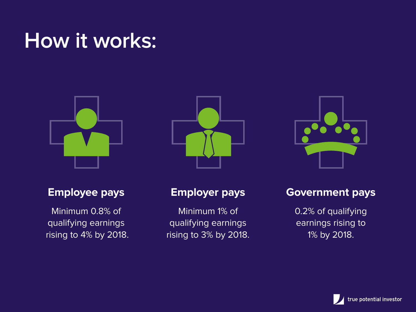### **How it works:**



#### **Employee pays**

Minimum 0.8% of qualifying earnings rising to 4% by 2018.





Minimum 1% of qualifying earnings rising to 3% by 2018.



#### **Government pays**

0.2% of qualifying earnings rising to 1% by 2018.

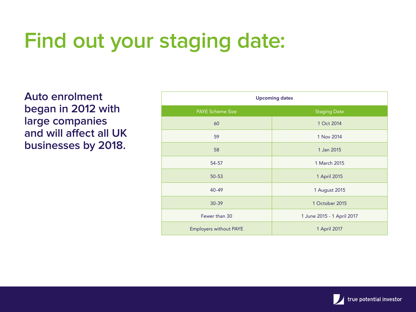# **Find out your staging date:**

**Auto enrolment began in 2012 with large companies and will affect all UK businesses by 2018.**

|                               | <b>Upcoming dates</b>      |  |  |  |
|-------------------------------|----------------------------|--|--|--|
| <b>PAYE Scheme Size</b>       | <b>Staging Date</b>        |  |  |  |
| 60                            | 1 Oct 2014                 |  |  |  |
| 59                            | 1 Nov 2014                 |  |  |  |
| 58                            | 1 Jan 2015                 |  |  |  |
| 54-57                         | 1 March 2015               |  |  |  |
| $50 - 53$                     | 1 April 2015               |  |  |  |
| 40-49                         | 1 August 2015              |  |  |  |
| 30-39                         | 1 October 2015             |  |  |  |
| Fewer than 30                 | 1 June 2015 - 1 April 2017 |  |  |  |
| <b>Employers without PAYE</b> | 1 April 2017               |  |  |  |

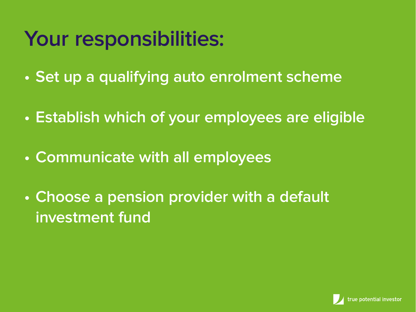## **Your responsibilities:**

- **Set up a qualifying auto enrolment scheme**
- **Establish which of your employees are eligible**
- **Communicate with all employees**
- **Choose a pension provider with a default investment fund**

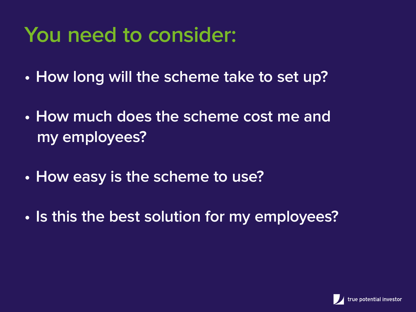## **You need to consider:**

- **How long will the scheme take to set up?**
- **How much does the scheme cost me and my employees?**
- **How easy is the scheme to use?**
- **Is this the best solution for my employees?**

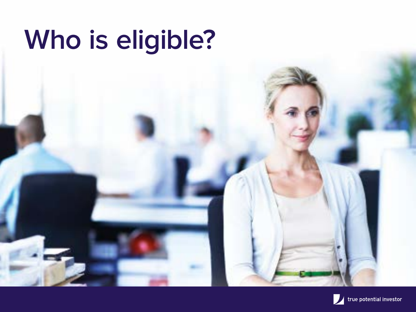# **Who is eligible?**

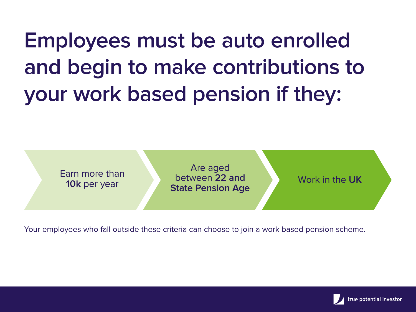**Employees must be auto enrolled and begin to make contributions to your work based pension if they:** 



Your employees who fall outside these criteria can choose to join a work based pension scheme.

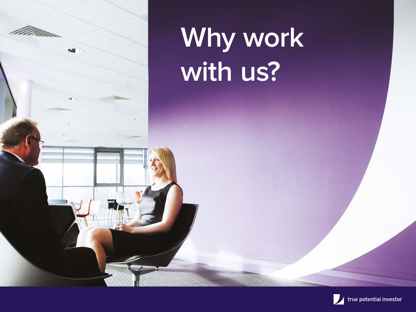

# **Why work with us?**

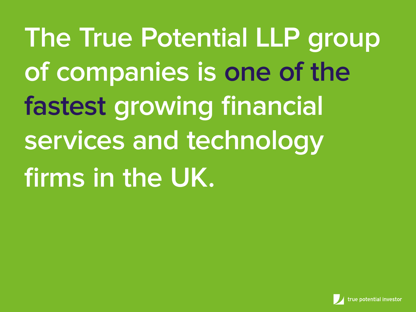**The True Potential LLP group of companies is one of the fastest growing financial services and technology firms in the UK.**

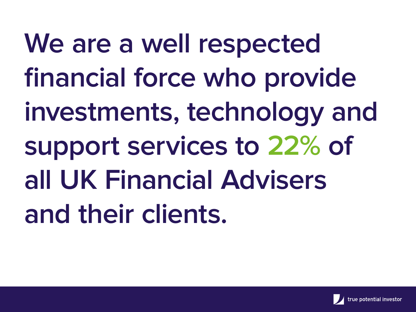We are a well respected **financial force who provide investments, technology and support services to 22% of all UK Financial Advisers and their clients.**

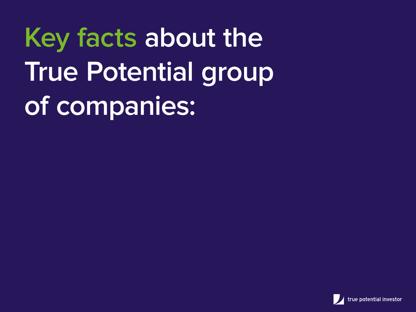**Key facts about the True Potential group of companies:**

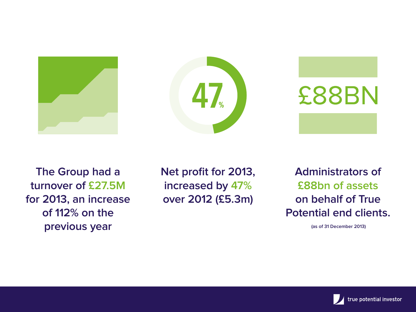





**The Group had a turnover of £27.5M for 2013, an increase of 112% on the previous year**

**Net profit for 2013, increased by 47% over 2012 (£5.3m)**

**Administrators of £88bn of assets on behalf of True Potential end clients.**

 **(as of 31 December 2013)**

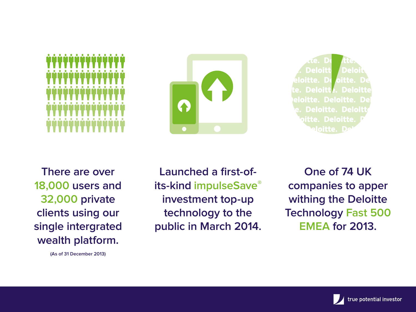



**Deloitt** loitte. **Deloitt Deloit** eloitte. Deloitte. D **Deloitte. Deloit** itte. Deloitte aloitte. I

**There are over 18,000 users and 32,000 private clients using our single intergrated wealth platform.**

**(As of 31 December 2013)**

**Launched a first-ofits-kind impulseSave® investment top-up technology to the public in March 2014.**

**One of 74 UK companies to apper withing the Deloitte Technology Fast 500 EMEA for 2013.**

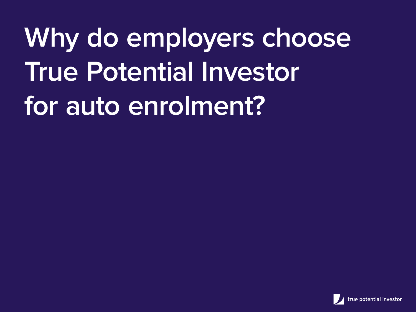**Why do employers choose True Potential Investor for auto enrolment?**

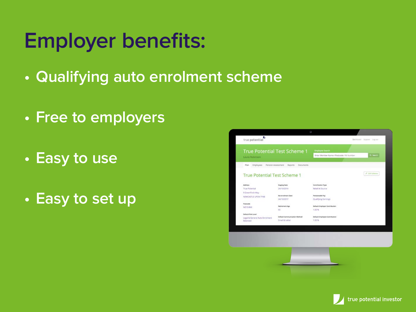# **Employer benefits:**

- **Qualifying auto enrolment scheme**
- **Free to employers**
- **Easy to use**
- **Easy to set up**

| <b>True Potential Test Scheme 1</b><br>Laura Robinson |                                            | <b>Employee Search</b>                   |               |
|-------------------------------------------------------|--------------------------------------------|------------------------------------------|---------------|
|                                                       |                                            | Enter Member Name / Postcode / Ni Number | Q. Search     |
| Plan<br>Employees                                     | Pension Assessment<br>Reports<br>Documents |                                          |               |
| <b>True Potential Test Scheme 1</b>                   |                                            |                                          | / Isla Scheme |
| <b>Address</b>                                        | <b>Staging Date</b>                        | Contribution Type                        |               |
| <b>True Potential</b>                                 | 24/10/2014                                 | Relief At Source                         |               |
| 9 Greenfinch Way                                      |                                            |                                          |               |
| NEWCASTLE UPON TYNE                                   | Re-enrolment Date                          | Pensionable Pay                          |               |
|                                                       | 24/10/2017                                 | Qualifying Earnings                      |               |
| Postcode                                              | Retirement Apr                             | Default Employer Contribution            |               |
| NE15 8NX                                              | 65                                         | 1.00%                                    |               |
| Default Risk Level                                    |                                            |                                          |               |
| Legal & General Auto Enrolment                        | Default Communication Method               | Default Employee Contribution            |               |
| Balanced                                              | Email & Letter                             | 1.00%                                    |               |
|                                                       |                                            |                                          |               |
|                                                       |                                            |                                          |               |
|                                                       |                                            |                                          |               |
|                                                       |                                            |                                          |               |
|                                                       |                                            |                                          |               |
|                                                       |                                            |                                          |               |
|                                                       |                                            |                                          |               |
|                                                       |                                            |                                          |               |
|                                                       |                                            |                                          |               |
|                                                       |                                            |                                          |               |

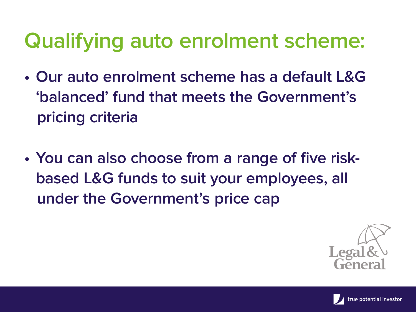# **Qualifying auto enrolment scheme:**

- **Our auto enrolment scheme has a default L&G 'balanced' fund that meets the Government's pricing criteria**
- **You can also choose from a range of five risk based L&G funds to suit your employees, all under the Government's price cap**



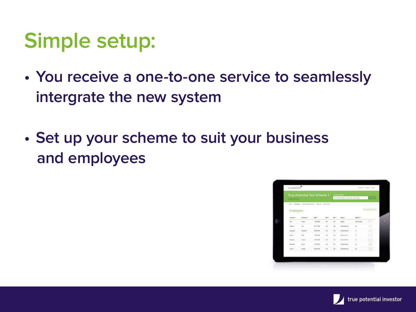### **Simple setup:**

- **You receive a one-to-one service to seamlessly intergrate the new system**
- **Set up your scheme to suit your business and employees**



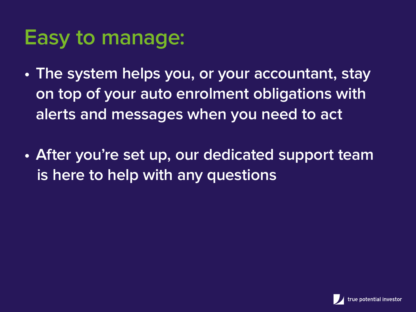#### **Easy to manage:**

- **The system helps you, or your accountant, stay on top of your auto enrolment obligations with alerts and messages when you need to act**
- **After you're set up, our dedicated support team is here to help with any questions**

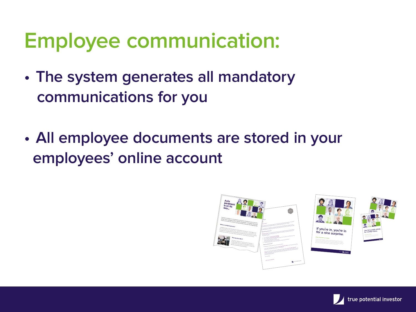### **Employee communication:**

- **The system generates all mandatory communications for you**
- **All employee documents are stored in your employees' online account**



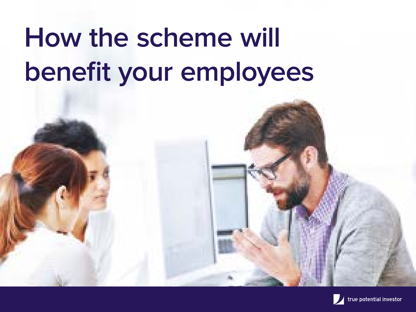# **How the scheme will benefit your employees**

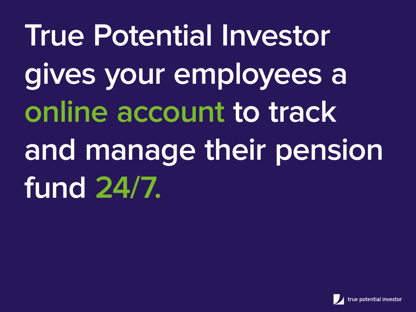**True Potential Investor gives your employees a online account to track and manage their pension fund 24/7.**

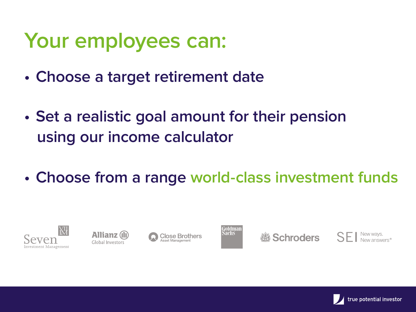#### **Your employees can:**

- **Choose a target retirement date**
- **Set a realistic goal amount for their pension using our income calculator**
- **Choose from a range world-class investment funds**









*3* Schroders SFI



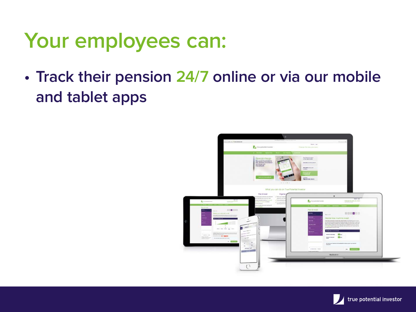#### **Your employees can:**

**• Track their pension 24/7 online or via our mobile and tablet apps**



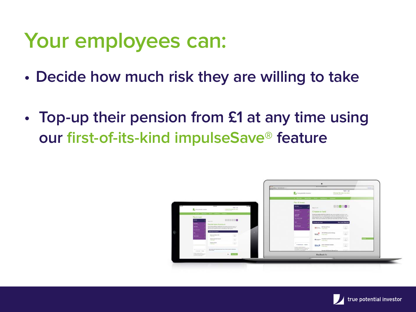#### **Your employees can:**

- **Decide how much risk they are willing to take**
- **• Top-up their pension from £1 at any time using our first-of-its-kind impulseSave® feature**



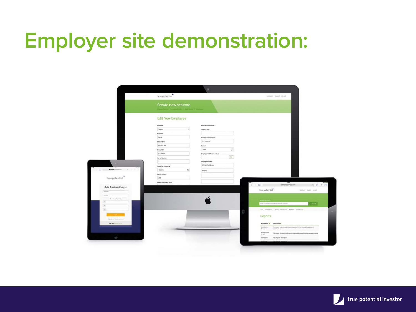### **Employer site demonstration:**

|                                 | true potential                                      |                                              | Investor Index Execute                                                 |                                                                                    |
|---------------------------------|-----------------------------------------------------|----------------------------------------------|------------------------------------------------------------------------|------------------------------------------------------------------------------------|
|                                 | Create new scheme                                   |                                              |                                                                        |                                                                                    |
|                                 | without a company fields in bancilessy it processed |                                              |                                                                        |                                                                                    |
|                                 | <b>Edit New Employee</b>                            |                                              |                                                                        |                                                                                    |
|                                 | Simone                                              |                                              |                                                                        |                                                                                    |
|                                 | Seon<br>$\equiv$                                    | Apply Resignments ()<br><b>Deferral Bane</b> |                                                                        |                                                                                    |
|                                 | Renovama                                            |                                              |                                                                        |                                                                                    |
|                                 | perce                                               | First Contribution Date:                     |                                                                        |                                                                                    |
|                                 | Date of Birth                                       | 31/10/2014                                   |                                                                        |                                                                                    |
|                                 | OS/DK/1986                                          | Gender:                                      |                                                                        |                                                                                    |
|                                 | <b>N Number</b>                                     | ×.<br><b>Stale</b>                           |                                                                        |                                                                                    |
|                                 | jr/123456c                                          | Englow Address Lookup                        |                                                                        |                                                                                    |
|                                 | <b>Payrol Number</b>                                | 推定                                           |                                                                        |                                                                                    |
|                                 | ¥.                                                  | <b>Impayer Address</b>                       |                                                                        |                                                                                    |
|                                 | Salary Pay Prequency                                | 32 Mitchell Street                           |                                                                        |                                                                                    |
|                                 | ×.<br>Weekly                                        | proby                                        |                                                                        |                                                                                    |
|                                 | <b>Meekly Incerne</b>                               |                                              |                                                                        |                                                                                    |
| $true\,potential$               | 366                                                 |                                              |                                                                        |                                                                                    |
|                                 | Default Churstry of hirth                           |                                              | $\mathbb{Z}$ in $\mathbb{Z}$<br>$\overline{1}$<br>clement lyterato.com | $0 + 0$                                                                            |
| Auto Enrolment Log in           |                                                     |                                              | true potential <sup>2</sup>                                            | Democy   humor, sayed                                                              |
| <b>Statement</b>                |                                                     |                                              |                                                                        |                                                                                    |
| Following<br>Parameter planners |                                                     |                                              |                                                                        |                                                                                    |
| $\uparrow$                      |                                                     |                                              | <b>Contract Contract Contract Contract</b>                             |                                                                                    |
| $\alpha$                        |                                                     |                                              | Crear Mashine Awres / Federate / M Wernley                             | <b>G.Suite</b>                                                                     |
| $\Omega$                        |                                                     |                                              | Ret Englisher Neder-Normont Reports Doluments                          |                                                                                    |
|                                 |                                                     |                                              |                                                                        |                                                                                    |
| Chrysler to a 10-stress         |                                                     |                                              | <b>Reports</b>                                                         |                                                                                    |
| <b>Recisel</b> Construction     |                                                     |                                              | Description W<br><b>Report Name W</b>                                  |                                                                                    |
|                                 |                                                     |                                              | Contribution<br>revisions.                                             | This expert sell produce a list of employees who have made a change to their       |
|                                 |                                                     |                                              | Clarges<br>statigines                                                  |                                                                                    |
|                                 |                                                     |                                              | Within.                                                                | This cases all positiv reservation on within business for a given searchy provider |
|                                 |                                                     |                                              | Text Asport 1 Detail plant<br>Test Report 9                            |                                                                                    |
|                                 |                                                     |                                              |                                                                        |                                                                                    |

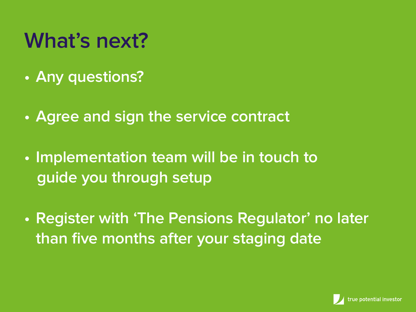## **What's next?**

- **Any questions?**
- **Agree and sign the service contract**
- **Implementation team will be in touch to guide you through setup**
- **Register with 'The Pensions Regulator' no later than five months after your staging date**